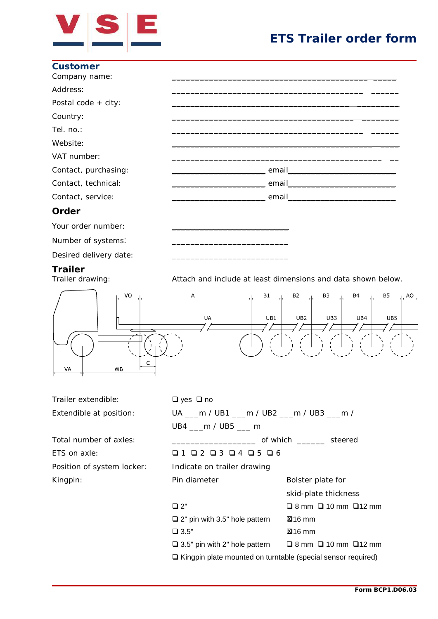

## **ETS Trailer order form**

\_\_\_\_\_\_\_lier ETS

| <b>Customer</b><br>Company name: |                                                                                                                                                                                                                                     |
|----------------------------------|-------------------------------------------------------------------------------------------------------------------------------------------------------------------------------------------------------------------------------------|
| Address:                         |                                                                                                                                                                                                                                     |
| Postal code $+$ city:            |                                                                                                                                                                                                                                     |
| Country:                         |                                                                                                                                                                                                                                     |
| Tel. no.:                        |                                                                                                                                                                                                                                     |
| Website:                         |                                                                                                                                                                                                                                     |
| VAT number:                      |                                                                                                                                                                                                                                     |
| Contact, purchasing:             | email email and the contract of the contract of the contract of the contract of the contract of the contract of the contract of the contract of the contract of the contract of the contract of the contract of the contract o      |
| Contact, technical:              |                                                                                                                                                                                                                                     |
| Contact, service:                | <u>email</u> email and the contract of the contract of the contract of the contract of the contract of the contract of the contract of the contract of the contract of the contract of the contract of the contract of the contract |
| Order                            |                                                                                                                                                                                                                                     |
| Your order number:               |                                                                                                                                                                                                                                     |
| Number of systems:               |                                                                                                                                                                                                                                     |

Desired delivery date:

**Trailer**<br>Trailer drawing:

Attach and include at least dimensions and data shown below.



| Trailer extendible:        | $\Box$ yes $\Box$ no                                                       |                                       |  |  |
|----------------------------|----------------------------------------------------------------------------|---------------------------------------|--|--|
| Extendible at position:    | UA ___ m / UB1 ___ m / UB2 ___ m / UB3 ___ m /                             |                                       |  |  |
|                            | $UB4$ m / $UB5$ m                                                          |                                       |  |  |
| Total number of axles:     | of which _________ steered                                                 |                                       |  |  |
| ETS on axle:               | Q 1 Q 2 Q 3 Q 4 Q 5 Q 6                                                    |                                       |  |  |
| Position of system locker: | Indicate on trailer drawing                                                |                                       |  |  |
| Kingpin:                   | Pin diameter                                                               | Bolster plate for                     |  |  |
|                            |                                                                            | skid-plate thickness                  |  |  |
|                            | $\Box$ 2"                                                                  | $\Box$ 8 mm $\Box$ 10 mm $\Box$ 12 mm |  |  |
|                            | $\Box$ 2" pin with 3.5" hole pattern                                       | $\boxtimes$ 16 mm                     |  |  |
|                            | $\Box$ 3.5"                                                                | $2316$ mm                             |  |  |
|                            | $\Box$ 3.5" pin with 2" hole pattern $\Box$ 8 mm $\Box$ 10 mm $\Box$ 12 mm |                                       |  |  |
|                            | □ Kingpin plate mounted on turntable (special sensor required)             |                                       |  |  |